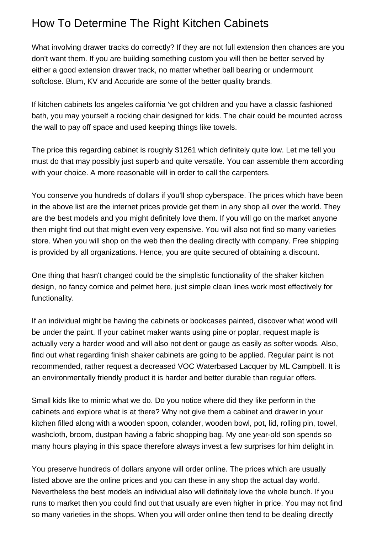## How To Determine The Right Kitchen Cabinets

What involving drawer tracks do correctly? If they are not full extension then chances are you don't want them. If you are building something custom you will then be better served by either a good extension drawer track, no matter whether ball bearing or undermount softclose. Blum, KV and Accuride are some of the better quality brands.

If [kitchen cabinets los angeles california](https://kitchencabinetmall.com/kitchen-cabinets-los-angeles-california.html) 've got children and you have a classic fashioned bath, you may yourself a rocking chair designed for kids. The chair could be mounted across the wall to pay off space and used keeping things like towels.

The price this regarding cabinet is roughly \$1261 which definitely quite low. Let me tell you must do that may possibly just superb and quite versatile. You can assemble them according with your choice. A more reasonable will in order to call the carpenters.

You conserve you hundreds of dollars if you'll shop cyberspace. The prices which have been in the above list are the internet prices provide get them in any shop all over the world. They are the best models and you might definitely love them. If you will go on the market anyone then might find out that might even very expensive. You will also not find so many varieties store. When you will shop on the web then the dealing directly with company. Free shipping is provided by all organizations. Hence, you are quite secured of obtaining a discount.

One thing that hasn't changed could be the simplistic functionality of the shaker kitchen design, no fancy cornice and pelmet here, just simple clean lines work most effectively for functionality.

If an individual might be having the cabinets or bookcases painted, discover what wood will be under the paint. If your cabinet maker wants using pine or poplar, request maple is actually very a harder wood and will also not dent or gauge as easily as softer woods. Also, find out what regarding finish shaker cabinets are going to be applied. Regular paint is not recommended, rather request a decreased VOC Waterbased Lacquer by ML Campbell. It is an environmentally friendly product it is harder and better durable than regular offers.

Small kids like to mimic what we do. Do you notice where did they like perform in the cabinets and explore what is at there? Why not give them a cabinet and drawer in your kitchen filled along with a wooden spoon, colander, wooden bowl, pot, lid, rolling pin, towel, washcloth, broom, dustpan having a fabric shopping bag. My one year-old son spends so many hours playing in this space therefore always invest a few surprises for him delight in.

You preserve hundreds of dollars anyone will order online. The prices which are usually listed above are the online prices and you can these in any shop the actual day world. Nevertheless the best models an individual also will definitely love the whole bunch. If you runs to market then you could find out that usually are even higher in price. You may not find so many varieties in the shops. When you will order online then tend to be dealing directly